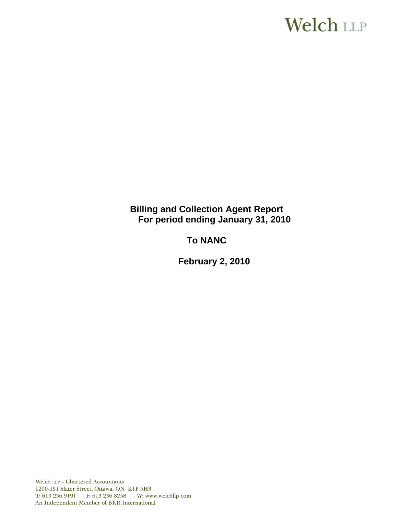# **Welch LLP**

**Billing and Collection Agent Report For period ending January 31, 2010**

**To NANC** 

 **February 2, 2010**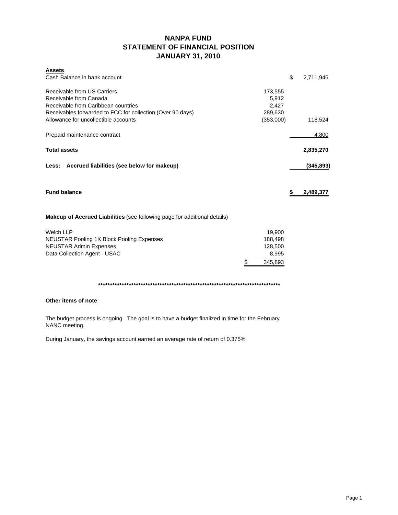# **NANPA FUND STATEMENT OF FINANCIAL POSITION JANUARY 31, 2010**

| <b>Assets</b>                                                             |               |                 |
|---------------------------------------------------------------------------|---------------|-----------------|
| Cash Balance in bank account                                              |               | \$<br>2,711,946 |
| Receivable from US Carriers                                               | 173,555       |                 |
| Receivable from Canada                                                    | 5,912         |                 |
| Receivable from Caribbean countries                                       | 2,427         |                 |
| Receivables forwarded to FCC for collection (Over 90 days)                | 289,630       |                 |
| Allowance for uncollectible accounts                                      | (353,000)     | 118,524         |
| Prepaid maintenance contract                                              |               | 4,800           |
| <b>Total assets</b>                                                       |               | 2,835,270       |
| Less: Accrued liabilities (see below for makeup)                          |               | (345, 893)      |
| <b>Fund balance</b>                                                       |               | \$<br>2,489,377 |
| Makeup of Accrued Liabilities (see following page for additional details) |               |                 |
| <b>Welch LLP</b>                                                          | 19,900        |                 |
| <b>NEUSTAR Pooling 1K Block Pooling Expenses</b>                          | 188,498       |                 |
| <b>NEUSTAR Admin Expenses</b>                                             | 128,500       |                 |
| Data Collection Agent - USAC                                              | 8,995         |                 |
|                                                                           | \$<br>345,893 |                 |

**\*\*\*\*\*\*\*\*\*\*\*\*\*\*\*\*\*\*\*\*\*\*\*\*\*\*\*\*\*\*\*\*\*\*\*\*\*\*\*\*\*\*\*\*\*\*\*\*\*\*\*\*\*\*\*\*\*\*\*\*\*\*\*\*\*\*\*\*\*\*\*\*\*\*\*\*\***

### **Other items of note**

The budget process is ongoing. The goal is to have a budget finalized in time for the February NANC meeting.

During January, the savings account earned an average rate of return of 0.375%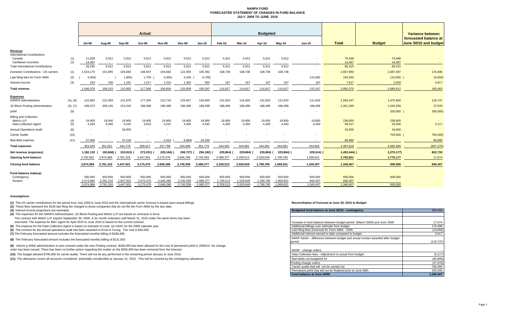### **NANPA FUND FORECASTED STATEMENT OF CHANGES IN FUND BALANCEJULY 2009 TO JUNE 2010**

|                                                                     |            | Actual               |                      |                          |                          | <b>Budgeted</b>      |                      |                      |                      |                      |                      |                      | Variance between   |                    |                   |                                                |
|---------------------------------------------------------------------|------------|----------------------|----------------------|--------------------------|--------------------------|----------------------|----------------------|----------------------|----------------------|----------------------|----------------------|----------------------|--------------------|--------------------|-------------------|------------------------------------------------|
|                                                                     |            | <b>Jul-09</b>        | Aug-09               | Sep-09                   | Oct-09                   | Nov-09               | <b>Dec-09</b>        | <b>Jan-10</b>        | Feb-10               | Mar-10               | Apr-10               | $May-10$             | <b>Jun-10</b>      | <b>Total</b>       | <b>Budget</b>     | forecasted balance at<br>June 30/10 and budget |
| Revenue                                                             |            |                      |                      |                          |                          |                      |                      |                      |                      |                      |                      |                      |                    |                    |                   |                                                |
| <b>International Contributions</b><br>Canada<br>Caribbean countries | (1)<br>(1) | 11.828<br>14,467     | 5,912<br>$\sim$      | 5,912<br>$\sim$          | 5,912<br>. .             | 5,912<br>$\sim$      | 5,912<br>$\sim$      | 5.912<br>$\sim$      | 5.912<br>$\sim$      | 5,912<br>$\sim$      | 5,912<br>$\sim$      | 5,912<br>$\sim$      | $\sim$             | 70,948<br>14,467   | 70,948<br>14,467  |                                                |
| <b>Total International Contributions</b>                            |            | 26,295               | 5,912                | 5,912                    | 5.912                    | 5,912                | 5.912                | 5.912                | 5.912                | 5,912                | 5,912                | 5,912                |                    | 85,415             | 85,415            |                                                |
| Domestic Contributions - US carriers                                | (1)        | 1,524,170            | 151,995              | 105.690                  | 108,557                  | 104.682              | 122,555              | 105,392              | 108,738              | 108,738              | 108,738              | 108,738              |                    | 2,657,993          | 2,487,497         | 170,496                                        |
| Late filing fees for Form 499A                                      | (2)        | 4,550                | $\sim$               | 1,800                    | 1,700                    | 3,400                | 4,100                | 6,700                |                      |                      |                      |                      | 115,000            | 104,350            | 115,000 (         | 10,650                                         |
| Interest income                                                     | (3)        | 163                  | 246                  | 1,161                    | 1,417                    | 1,410                | 1,392                | 993                  | 167                  | 167                  | 167                  | 167                  | 167                | 7,617              | 2,000             | 5,617                                          |
| Total revenue                                                       |            | 1,546,078            | 158,153              | 110,963                  | 117,586                  | 108,604              | 133,959              | 105,597              | 114,817              | 114,817              | 114,817              | 114,817              | 115,167            | 2,855,375          | 2,689,912         | 165,463                                        |
| <u>Expenses</u><br><b>NANPA Administration</b>                      | (4), (8)   | 122,883              | 122,309              | 131,876                  | 177,304                  | 122,743              | 129,567              | 128,500              | 131,833              | 131,833              | 131,833              | 131,833              | 131,833            | 1,594,347          | 1,475,600         | 118,747                                        |
| 1K Block Pooling Administration                                     | (4), (7)   | 189,373              | 200,156              | 215,254                  | 188,498                  | 188,498              | 188,498              | 188,498              | 188,498              | 188,498              | 188,498              | 188,498              | 188,498            | 2,301,265          | 2,263,289         | 37,976                                         |
| pANI                                                                | (9)        |                      |                      | $\overline{\phantom{a}}$ | $\overline{\phantom{a}}$ |                      |                      |                      |                      | $\sim$               |                      |                      | $\overline{a}$     |                    | 200,000 (         | 200,000)                                       |
| <b>Billing and Collection</b><br>Welch LLP<br>Data Collection Agent | (4)<br>(5) | 19,900<br>4.183      | 19,900<br>9.456      | 19,900<br>6,532          | 19,900<br>3.915          | 19,900<br>4,231      | 19,900<br>3.405      | 19,900<br>4.545      | 19,900<br>4.450      | 19,900<br>4.450      | 19,900<br>4.450      | 19,900<br>4.450      | 19,900<br>4.450    | 238,800<br>58,517  | 238,800<br>53,400 | 5,117                                          |
| <b>Annual Operations Audit</b>                                      | (6)        |                      |                      | 34,000                   |                          |                      |                      |                      |                      |                      |                      |                      |                    | 34,000             | 34,000            |                                                |
| <b>Carrier Audits</b>                                               | (10)       |                      |                      |                          |                          |                      |                      |                      |                      |                      |                      |                      |                    |                    | 700,000           | 700,000)                                       |
| Bad debt expense                                                    | (11)       | 27,606               |                      | 37,216                   |                          | 2,416                | 6,684                | 20,336               |                      |                      |                      |                      |                    | 80,890             |                   | 80,890                                         |
| <b>Total expenses</b>                                               |            | 363,945              | 351,821              | 444,778                  | 389,617                  | 337,788              | 334,686              | 361,779              | 344,681              | 344,681              | 344,681              | 344,681              | 344,681            | 4,307,819          | 4,965,089         | (657, 270)                                     |
| Net revenue (expenses)                                              |            | 1,182,133            | 193,668)             | 333,815)                 | 272,031)                 | 229,184)             | 200,727)             | 256,182)             | 229,864)             | 229,864)             | 229,864)             | 229,864)             | $229,514$ )        | $1,452,444$ )      | 2,275,177)        | 822,733                                        |
| <b>Opening fund balance</b>                                         |            | 2,792,851            | 3,974,984            | 3,781,316                | 3,447,501                | 3,175,470            | 2,946,286            | 2,745,559            | 2,489,377            | 2,259,513            | 2,029,649            | 1,799,785            | 1,569,921          | 2,792,851          | 1,775,177         | 17,674                                         |
| <b>Closing fund balance</b>                                         |            | 3.974.984            | 3,781,316            | 3,447,501                | 3,175,470                | 2,946,286            | 2,745,559            | 2,489,377            | 2,259,513            | 2,029,649            | 1,799,785            | 1,569,921            | 1,340,407          | 1,340,407          | 500,000           | 840,407                                        |
| Fund balance makeup:<br>Contingency<br>Surplus                      |            | 500,000<br>3,474,984 | 500.000<br>3,281,316 | 500,000<br>2,947,501     | 500,000<br>2,675,470     | 500,000<br>2,446,286 | 500,000<br>2,245,559 | 500,000<br>1,989,377 | 500,000<br>1,759,513 | 500,000<br>1,529,649 | 500,000<br>1,299,785 | 500,000<br>1,069,921 | 500,000<br>840.407 | 500,000<br>840.407 | 500,000<br>$\sim$ |                                                |
|                                                                     |            | 3.974,984            | 3.781.316            | 3.447.501                | 3.175.470                | 2.946.286            | 2.745.559            | 2.489.377            | 2.259.513            | 2.029.649            | 1.799.785            | 1.569.921            | 1.340.407          | 1.340.407          | 500.000           |                                                |

### **Assumptions:**

**(1)** The US carrier contributions for the period from July 2009 to June 2010 and the International carrier revenue is based upon actual billings.

**(2)** These fees represent the \$100 late filing fee charged to those companies that do not file the Form 499A by the due date.

**(3)** Interest income projections are estimates

The contract with Welch LLP expires September 30, 2009. A six month extension until March 31, 2010 under the same terms has been **(4)** The expenses for the NANPA Administration, 1K Block Pooling and Welch LLP are based on contracts in force.

exercised. The expense for B&C Agent for April 2010 to June 2010 is based on the current contract.

**(5)** The expense for the Data Collection Agent is based on estimate of costs by USAC for the 2009 calendar year.

**(6)** The contract for the annual operations audit has been awarded to Ernst & Young. The cost is \$34,000.

**(7)** The February forecasted amount includes the forecasted monthly billing of \$188,498.

**(8)** The February forecasted amount includes the forecasted monthly billing of \$131,833

**(9)** Interim p-ANNI administration is now covered under the new Pooling contract. \$200,000 has been allowed for the cost of permanent pANI in 2009/10. No change

order has been issued. There has been no further action regarding this matter so the \$200,000 has been removed from the forecast.

**(10)** The budget allowed \$700,000 for carrier audits. There will not be any performed in the remaining period January to June 2010.

**(11)** The allowance covers all accounts considered potentially uncollectible at January 31, 2010. This will be covered by the contingency allowance.

#### **Reconciliation of Forecast at June 30, 2010 to Budget**

| Budgeted fund balance at June 30/10 - contingency                              | 500,000    |
|--------------------------------------------------------------------------------|------------|
|                                                                                |            |
|                                                                                |            |
| Increase in fund balance between budget period (March 2009) and June 2009      | 17,674     |
| Additional billings over estimate from budget                                  | 170,496    |
| Late filing fees (reversal) for Form 499A - 2009                               | (10, 650)  |
| Additional interest earned to date compared to budget                          | 5.617      |
| NANP Admin - difference between budget and actual contact awarded after budget |            |
| period                                                                         | (118, 747) |
|                                                                                |            |
| NANP - change orders                                                           |            |
| Data Collection fees - Adjustment to actual from budget                        | (5, 117)   |
| Bad debts not budgeted for                                                     | (80, 890)  |
| Pooling change orders                                                          | (37, 976)  |
| Carrier audits that will not be carried out                                    | 700.000    |
| Permanent pANi that will not be finalized prior to June 30th.                  | 200.000    |
| Fund balance at June 30/09                                                     | 1,340,407  |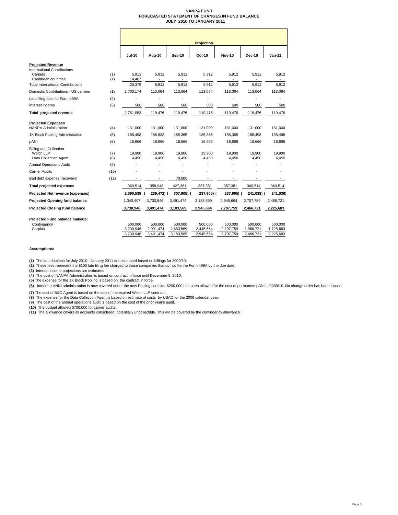### **NANPA FUND FORECASTED STATEMENT OF CHANGES IN FUND BALANCE JULY 2010 TO JANUARY 2011**

|                                                                                                                                             |            |                                   |                                   |                                   | <b>Projection</b>                 |                                   |                                   |                                   |
|---------------------------------------------------------------------------------------------------------------------------------------------|------------|-----------------------------------|-----------------------------------|-----------------------------------|-----------------------------------|-----------------------------------|-----------------------------------|-----------------------------------|
|                                                                                                                                             |            | <b>Jul-10</b>                     | Aug-10                            | <b>Sep-10</b>                     | Oct-10                            | <b>Nov-10</b>                     | <b>Dec-10</b>                     | Jan-11                            |
| <b>Projected Revenue</b><br><b>International Contributions</b><br>Canada<br>Caribbean countries<br><b>Total International Contributions</b> | (1)<br>(1) | 5.912<br>14,467<br>20,379         | 5,912<br>5.912                    | 5,912<br>5.912                    | 5,912<br>5.912                    | 5,912<br>5.912                    | 5,912<br>5.912                    | 5,912<br>5,912                    |
| Domestic Contributions - US carriers                                                                                                        | (1)        | 2,730,174                         | 113,064                           | 113,064                           | 113,064                           | 113,064                           | 113,064                           | 113,064                           |
| Late filing fees for Form 499A                                                                                                              | (2)        |                                   |                                   | ä,                                |                                   |                                   |                                   |                                   |
| Interest income                                                                                                                             | (3)        | 500                               | 500                               | 500                               | 500                               | 500                               | 500                               | 500                               |
| Total projected revenue                                                                                                                     |            | 2,751,053                         | 119,476                           | 119,476                           | 119,476                           | 119,476                           | 119,476                           | 119,476                           |
| <b>Projected Expenses</b><br><b>NANPA Administration</b>                                                                                    | (4)        | 131.000                           | 131,000                           | 131.000                           | 131.000                           | 131.000                           | 131.000                           | 131,000                           |
| 1K Block Pooling Administration                                                                                                             | (5)        | 188,498                           | 186,932                           | 185,365                           | 185,365                           | 185,365                           | 188,498                           | 188,498                           |
| pANI                                                                                                                                        | (6)        | 16,666                            | 16,666                            | 16,666                            | 16,666                            | 16,666                            | 16,666                            | 16,666                            |
| <b>Billing and Collection</b><br>Welch LLP<br>Data Collection Agent                                                                         | (7)<br>(8) | 19,900<br>4,450                   | 19,900<br>4,450                   | 19,900<br>4,450                   | 19,900<br>4,450                   | 19,900<br>4,450                   | 19,900<br>4,450                   | 19,900<br>4,450                   |
| <b>Annual Operations Audit</b>                                                                                                              | (9)        |                                   |                                   |                                   |                                   |                                   |                                   |                                   |
| <b>Carrier Audits</b>                                                                                                                       | (10)       |                                   |                                   |                                   |                                   |                                   |                                   |                                   |
| Bad debt expense (recovery)                                                                                                                 | (11)       |                                   |                                   | 70,000                            |                                   |                                   |                                   |                                   |
| <b>Total projected expenses</b>                                                                                                             |            | 360,514                           | 358,948                           | 427,381                           | 357,381                           | 357,381                           | 360,514                           | 360,514                           |
| Projected Net revenue (expenses)                                                                                                            |            | 2,390,539 (                       | 239,472) (                        | 307,905) (                        | 237,905) (                        | 237,905) (                        | 241,038) (                        | 241,038)                          |
| <b>Projected Opening fund balance</b>                                                                                                       |            | 1,340,407                         | 3,730,946                         | 3,491,474                         | 3,183,569                         | 2,945,664                         | 2,707,759                         | 2,466,721                         |
| <b>Projected Closing fund balance</b>                                                                                                       |            | 3,730,946                         | 3,491,474                         | 3,183,569                         | 2,945,664                         | 2,707,759                         | 2,466,721                         | 2,225,683                         |
| Projected Fund balance makeup:<br>Contingency<br>Surplus                                                                                    |            | 500,000<br>3,230,946<br>3,730,946 | 500,000<br>2,991,474<br>3,491,474 | 500,000<br>2,683,569<br>3,183,569 | 500,000<br>2,445,664<br>2,945,664 | 500,000<br>2,207,759<br>2,707,759 | 500,000<br>1,966,721<br>2,466,721 | 500,000<br>1,725,683<br>2,225,683 |

### **Assumptions:**

**(1)** The contributions for July 2010 - January 2011 are estimated based on billings for 2009/10.

**(2)** These fees represent the \$100 late filing fee charged to those companies that do not file the Form 499A by the due date.

**(3)** Interest income projections are estimates

**(4)** The cost of NANPA Administration is based on contract in force until December 8, 2010. **(5)** The expense for the 1K Block Pooling is based on the contract in force.

**(6)** Interim p-ANNI administration is now covered under the new Pooling contract. \$200,000 has been allowed for the cost of permanent pANI in 2009/10. No change order has been issued.

**(7)** The cost of B&C Agent is based on the cost of the expired Welch LLP contract.

**(8)** The expense for the Data Collection Agent is based on estimate of costs by USAC for the 2009 calendar year.<br>**(9)** The cost of the annual operations audit is based on the cost of the prior year's audit.

**(10)** The budget allowed \$700,000 for carrier audits. **(11)** The allowance covers all accounts considered potentially uncollectible. This will be covered by the contingency allowance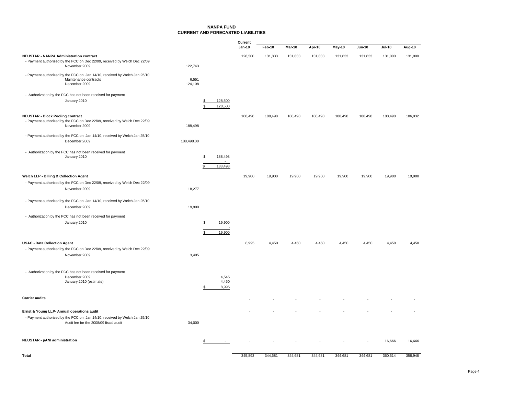### **NANPA FUNDCURRENT AND FORECASTED LIABILITIES**

|                                                                                                                                                                   |                  |                     |                              | Current<br>Jan-10 | Feb-10  | <b>Mar-10</b> | Apr-10  | May-10  | Jun-10  | $Jul-10$ | Aug-10  |
|-------------------------------------------------------------------------------------------------------------------------------------------------------------------|------------------|---------------------|------------------------------|-------------------|---------|---------------|---------|---------|---------|----------|---------|
| <b>NEUSTAR - NANPA Administration contract</b><br>- Payment authorized by the FCC on Dec 22/09, received by Welch Dec 22/09<br>November 2009                      | 122,743          |                     |                              | 128,500           | 131,833 | 131,833       | 131,833 | 131,833 | 131,833 | 131,000  | 131,000 |
| - Payment authorized by the FCC on Jan 14/10, received by Welch Jan 25/10<br>Maintenance contracts<br>December 2009                                               | 6,551<br>124,108 |                     |                              |                   |         |               |         |         |         |          |         |
| - Authorization by the FCC has not been received for payment<br>January 2010                                                                                      |                  | \$<br>$\mathcal{F}$ | 128,500<br>128,500           |                   |         |               |         |         |         |          |         |
| <b>NEUSTAR - Block Pooling contract</b><br>- Payment authorized by the FCC on Dec 22/09, received by Welch Dec 22/09<br>November 2009                             | 188,498          |                     |                              | 188,498           | 188,498 | 188,498       | 188,498 | 188,498 | 188,498 | 188,498  | 186,932 |
| - Payment authorized by the FCC on Jan 14/10, received by Welch Jan 25/10<br>December 2009                                                                        | 188,498.00       |                     |                              |                   |         |               |         |         |         |          |         |
| - Authorization by the FCC has not been received for payment<br>January 2010                                                                                      |                  | \$<br>\$            | 188,498<br>$\sim$<br>188,498 |                   |         |               |         |         |         |          |         |
| Welch LLP - Billing & Collection Agent                                                                                                                            |                  |                     |                              | 19,900            | 19,900  | 19,900        | 19,900  | 19,900  | 19,900  | 19,900   | 19,900  |
| - Payment authorized by the FCC on Dec 22/09, received by Welch Dec 22/09<br>November 2009                                                                        | 18,277           |                     |                              |                   |         |               |         |         |         |          |         |
| - Payment authorized by the FCC on Jan 14/10, received by Welch Jan 25/10<br>December 2009                                                                        | 19,900           |                     |                              |                   |         |               |         |         |         |          |         |
| - Authorization by the FCC has not been received for payment<br>January 2010                                                                                      |                  | \$<br>\$            | 19,900<br>19,900             |                   |         |               |         |         |         |          |         |
| <b>USAC - Data Collection Agent</b><br>- Payment authorized by the FCC on Dec 22/09, received by Welch Dec 22/09<br>November 2009                                 | 3,405            |                     |                              | 8,995             | 4,450   | 4,450         | 4,450   | 4,450   | 4,450   | 4,450    | 4,450   |
| - Authorization by the FCC has not been received for payment<br>December 2009<br>January 2010 (estimate)                                                          |                  |                     | 4,545<br>4,450<br>8,995      |                   |         |               |         |         |         |          |         |
| <b>Carrier audits</b>                                                                                                                                             |                  |                     |                              |                   |         |               |         |         |         |          |         |
| Ernst & Young LLP- Annual operations audit<br>- Payment authorized by the FCC on Jan 14/10, received by Welch Jan 25/10<br>Audit fee for the 2008/09 fiscal audit | 34,000           |                     |                              |                   |         |               |         |         |         |          |         |
| <b>NEUSTAR - pANI administration</b>                                                                                                                              |                  | \$                  |                              |                   |         |               |         |         |         | 16,666   | 16,666  |
| Total                                                                                                                                                             |                  |                     |                              | 345.893           | 344.681 | 344.681       | 344.681 | 344.681 | 344.681 | 360.514  | 358.948 |